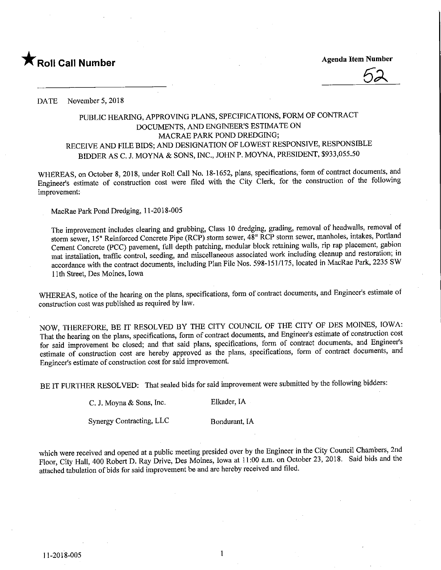

 $\sqrt{2}$ 

DATE November 5, 2018

## PUBLIC HEARING, APPROVING PLANS, SPECIFICATIONS, FORM OF CONTRACT DOCUMENTS, AND ENGINEER'S ESTIMATE ON MACRAE PARK POND DREDGING; RECEIVE AND FILE BIDS; AND DESIGNATION OF LOWEST RESPONSIVE, RESPONSIBLE BIDDER AS C. J. MOYNA & SONS, INC., JOHN P. MOYNA, PRESIDENT, \$933,055.50

WHEREAS, on October 8, 2018, under Roll Call No. 18-1652, plans, specifications, form of contract documents, and Engineer's estimate of construction cost were filed with the City Clerk, for the construction of the following improvement:

MacRae Park Pond Dredging, 11-2018-005

The improvement includes clearing and grubbing, Class 10 dredging, grading, removal of headwalls, removal of storm sewer, 15" Reinforced Concrete Pipe (RCP) storm sewer, 48" RCP storm sewer, manholes, intakes, Portland Cement Concrete (PCC) pavement, full depth patching, modular block retaining walls, rip rap placement, gabion mat installation, traffic control, seeding, and miscellaneous associated work including cleanup and restoration; in accordance with the contract documents, including Plan File Nos. 598-151/175, located in MacRae Park, 2235 SW 11th Street, Des Moines, Iowa

WHEREAS, notice of the hearing on the plans, specifications, form of contract documents, and Engineer's estimate of construction cost was published as required by law.

NOW, THEREFORE, BE IT RESOLVED BY THE CITY COUNCIL OF THE CITY OF DES MOINES, IOWA: That the hearing on the plans, specifications, form of contract documents, and Engineer's estimate of construction cost for said improvement be closed; and that said plans, specifications, form of contract documents, and Engineer's estimate of construction cost are hereby approved as the plans, specifications, form of contract documents, and Engineer's estimate of construction cost for said improvement.

BE IT FURTHER RESOLVED: That sealed bids for said improvement were submitted by the following bidders:

C. J. Moyna & Sons, Inc. Elkader, IA

Synergy Contracting, LLC Bondurant, IA

which were received and opened at a public meeting presided over by the Engineer in the City Council Chambers, 2nd Floor, City Hall, 400 Robert D. Ray Drive, Des Moines, Iowa at 11:00 a.m. on October 23, 2018. Said bids and the attached tabulation of bids for said improvement be and are hereby received and filed.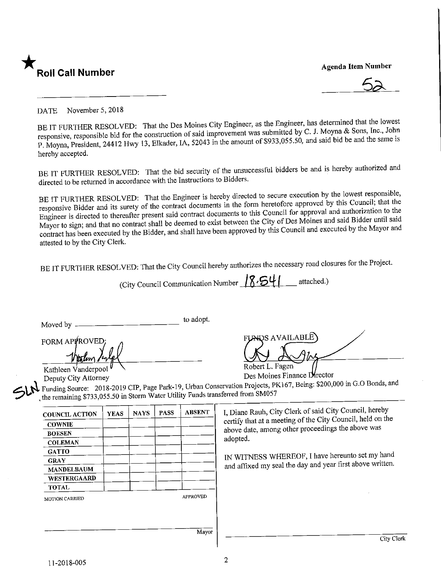

**Agenda Item Number** 

 $\lambda$ 

DATE November 5, 2018<br>BE IT FURTHER RESOLVED: That the Des Moines City Engineer, as the Engineer, has determined that the lowest responsive, responsible bid for the construction of said improvement was submitted by C. J. Moyna & Sons, Inc., John ponsive, responsible bid for the construction of same inverse was submitted by C.  $\frac{1}{2}$  and said bid be and the same is Moyna, President, 24412 Hwy 13, Elkader, IA, 52043 in the amount of \$933,055.50, and said bid bid bid bid bid bid be and the same is  $\frac{1}{2}$ hereby accepted.

BE IT FURTHER RESOLVED; That the bid security of the unsuccessful bidders be and is hereby authorized and directed to be returned in accordance with the Instructions to Bidders.

BE IT FURTHER RESOLVED: That the Engineer is hereby directed to secure execution by the lowest responsible, responsive Bidder and its surety of the contract documents in the form heretofore approved by this Council; that t Engineer is directed to thereafter present said contract documents to this Council for approval and authorization to the Mayor to sign; and that no contract shall be deemed to exist between the City of Des Moines and said Bidder until said ayor to sign; and that no contract shall be deemed to exist between the Council and executed by the Mayor and  $\alpha$  has been executed by the Bidder, and shall have been approved by the Mayor and executed by the Mayor and executed by the Mayor and executed by the Mayor and executed by the Mayor and executed by the Mayor and  $\alpha$ attested to by the City Clerk.

BE IT FURTHER RESOLVED: That the City Council hereby authorizes the necessary road closures for the Project.

(City Council Communication Number  $\frac{8.541}{}$  attached.) Moved by  $\frac{1}{\sqrt{1-\frac{1}{\sqrt{1-\frac{1}{\sqrt{1-\frac{1}{\sqrt{1-\frac{1}{\sqrt{1-\frac{1}{\sqrt{1-\frac{1}{\sqrt{1-\frac{1}{\sqrt{1-\frac{1}{\sqrt{1-\frac{1}{\sqrt{1-\frac{1}{\sqrt{1-\frac{1}{\sqrt{1-\frac{1}{\sqrt{1-\frac{1}{\sqrt{1-\frac{1}{\sqrt{1-\frac{1}{\sqrt{1-\frac{1}{\sqrt{1-\frac{1}{\sqrt{1-\frac{1}{\sqrt{1-\frac{1}{\sqrt{1-\frac{1}{\sqrt{1-\frac{1}{\sqrt{1-\frac{1}{\sqrt{1-\frac{1$  $\operatorname{\mathsf{RDS}}$  AVAILABLE  $\rangle$ FORM APPROVED; Robert L. Fagen Kathleen Vanderpool<br>Deputy City Attorney  $\leq h^{\frac{1}{2}}$ Des Moines Finance Director Deputy City Attorney<br>  $\frac{1}{2}$  and  $\frac{1}{2}$  and  $\frac{1}{2}$  and  $\frac{1}{2}$  and  $\frac{1}{2}$  and  $\frac{1}{2}$  and  $\frac{1}{2}$  and  $\frac{1}{2}$  and  $\frac{1}{2}$  and  $\frac{1}{2}$  and  $\frac{1}{2}$  and  $\frac{1}{2}$  and  $\frac{1}{2}$  and  $\frac{1}{2}$  and  $\frac{$ Funding Source:  $2018-2019$  CIP, Page Park-19, City in Gran Conservation Projects, PK1657, Being:  $800,000$ the remaining \$733,055.50 in Storm Water Utility Funds transferred from SM057 I, Diane Rauh, City Clerk of said City Council, hereby COUNCIL ACTION  $\frac{\text{RAS}}{\text{NAS}}$   $\frac{\text{NAS}}{\text{NAS}}$ **COWNIE**  $\epsilon$  and  $\epsilon$  are  $\epsilon$  at a metal of the conceptions the above was BOESEN  $\frac{1}{2}$ adopted. **COLEMAN** GATTO GRAY IN WITNESS WHEREOF, I have hereunto set my hand MANDELBAUM and a first above written. The day  $\mathcal{A}$ WESTERGAARD TOTAL MOTION CARRIED APPROVED Mayor City Clerk  $\overline{2}$ 11-2018-005